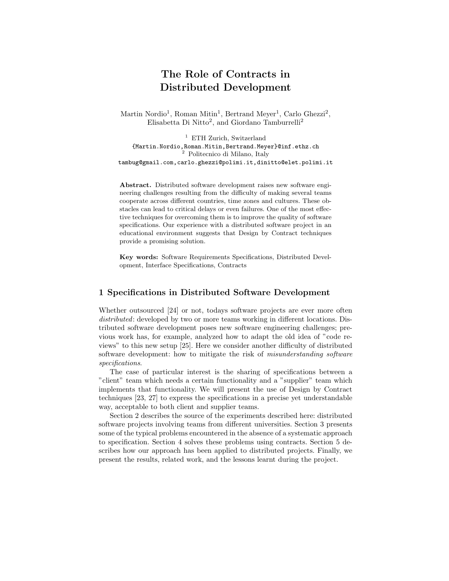# The Role of Contracts in Distributed Development

Martin Nordio<sup>1</sup>, Roman Mitin<sup>1</sup>, Bertrand Meyer<sup>1</sup>, Carlo Ghezzi<sup>2</sup>, Elisabetta Di Nitto<sup>2</sup>, and Giordano Tamburrelli<sup>2</sup>

<sup>1</sup> ETH Zurich, Switzerland {Martin.Nordio,Roman.Mitin,Bertrand.Meyer}@inf.ethz.ch <sup>2</sup> Politecnico di Milano, Italy tambug@gmail.com,carlo.ghezzi@polimi.it,dinitto@elet.polimi.it

Abstract. Distributed software development raises new software engineering challenges resulting from the difficulty of making several teams cooperate across different countries, time zones and cultures. These obstacles can lead to critical delays or even failures. One of the most effective techniques for overcoming them is to improve the quality of software specifications. Our experience with a distributed software project in an educational environment suggests that Design by Contract techniques provide a promising solution.

Key words: Software Requirements Specifications, Distributed Development, Interface Specifications, Contracts

# 1 Specifications in Distributed Software Development

Whether outsourced [24] or not, todays software projects are ever more often distributed: developed by two or more teams working in different locations. Distributed software development poses new software engineering challenges; previous work has, for example, analyzed how to adapt the old idea of "code reviews" to this new setup [25]. Here we consider another difficulty of distributed software development: how to mitigate the risk of *misunderstanding software* specifications.

The case of particular interest is the sharing of specifications between a "client" team which needs a certain functionality and a "supplier" team which implements that functionality. We will present the use of Design by Contract techniques [23, 27] to express the specifications in a precise yet understandable way, acceptable to both client and supplier teams.

Section 2 describes the source of the experiments described here: distributed software projects involving teams from different universities. Section 3 presents some of the typical problems encountered in the absence of a systematic approach to specification. Section 4 solves these problems using contracts. Section 5 describes how our approach has been applied to distributed projects. Finally, we present the results, related work, and the lessons learnt during the project.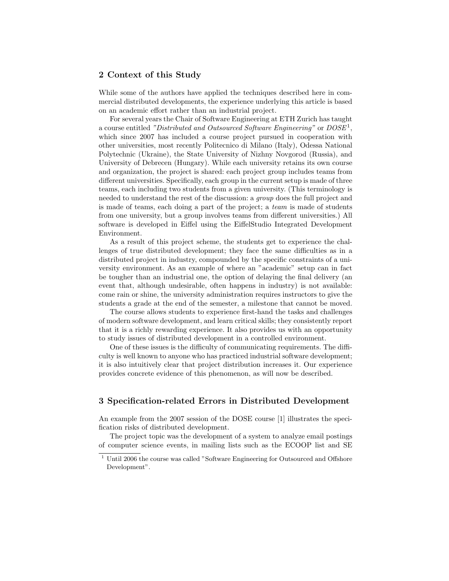# 2 Context of this Study

While some of the authors have applied the techniques described here in commercial distributed developments, the experience underlying this article is based on an academic effort rather than an industrial project.

For several years the Chair of Software Engineering at ETH Zurich has taught a course entitled "Distributed and Outsourced Software Engineering" or  $DOSE<sup>1</sup>$ , which since 2007 has included a course project pursued in cooperation with other universities, most recently Politecnico di Milano (Italy), Odessa National Polytechnic (Ukraine), the State University of Nizhny Novgorod (Russia), and University of Debrecen (Hungary). While each university retains its own course and organization, the project is shared: each project group includes teams from different universities. Specifically, each group in the current setup is made of three teams, each including two students from a given university. (This terminology is needed to understand the rest of the discussion: a group does the full project and is made of teams, each doing a part of the project; a team is made of students from one university, but a group involves teams from different universities.) All software is developed in Eiffel using the EiffelStudio Integrated Development Environment.

As a result of this project scheme, the students get to experience the challenges of true distributed development; they face the same difficulties as in a distributed project in industry, compounded by the specific constraints of a university environment. As an example of where an "academic" setup can in fact be tougher than an industrial one, the option of delaying the final delivery (an event that, although undesirable, often happens in industry) is not available: come rain or shine, the university administration requires instructors to give the students a grade at the end of the semester, a milestone that cannot be moved.

The course allows students to experience first-hand the tasks and challenges of modern software development, and learn critical skills; they consistently report that it is a richly rewarding experience. It also provides us with an opportunity to study issues of distributed development in a controlled environment.

One of these issues is the difficulty of communicating requirements. The difficulty is well known to anyone who has practiced industrial software development; it is also intuitively clear that project distribution increases it. Our experience provides concrete evidence of this phenomenon, as will now be described.

# 3 Specification-related Errors in Distributed Development

An example from the 2007 session of the DOSE course [1] illustrates the specification risks of distributed development.

The project topic was the development of a system to analyze email postings of computer science events, in mailing lists such as the ECOOP list and SE

 $^{\rm 1}$  Until 2006 the course was called "Software Engineering for Outsourced and Offshore Development".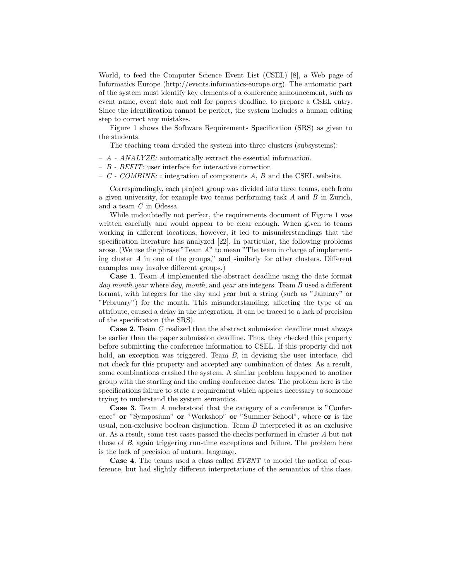World, to feed the Computer Science Event List (CSEL) [8], a Web page of Informatics Europe (http://events.informatics-europe.org). The automatic part of the system must identify key elements of a conference announcement, such as event name, event date and call for papers deadline, to prepare a CSEL entry. Since the identification cannot be perfect, the system includes a human editing step to correct any mistakes.

Figure 1 shows the Software Requirements Specification (SRS) as given to the students.

The teaching team divided the system into three clusters (subsystems):

- A ANALYZE: automatically extract the essential information.
- B BEFIT: user interface for interactive correction.
- C COMBINE: : integration of components A, B and the CSEL website.

Correspondingly, each project group was divided into three teams, each from a given university, for example two teams performing task  $A$  and  $B$  in Zurich, and a team C in Odessa.

While undoubtedly not perfect, the requirements document of Figure 1 was written carefully and would appear to be clear enough. When given to teams working in different locations, however, it led to misunderstandings that the specification literature has analyzed [22]. In particular, the following problems arose. (We use the phrase "Team A" to mean "The team in charge of implementing cluster A in one of the groups," and similarly for other clusters. Different examples may involve different groups.)

Case 1. Team A implemented the abstract deadline using the date format day.month.year where day, month, and year are integers. Team B used a different format, with integers for the day and year but a string (such as "January" or "February") for the month. This misunderstanding, affecting the type of an attribute, caused a delay in the integration. It can be traced to a lack of precision of the specification (the SRS).

Case 2. Team C realized that the abstract submission deadline must always be earlier than the paper submission deadline. Thus, they checked this property before submitting the conference information to CSEL. If this property did not hold, an exception was triggered. Team B, in devising the user interface, did not check for this property and accepted any combination of dates. As a result, some combinations crashed the system. A similar problem happened to another group with the starting and the ending conference dates. The problem here is the specifications failure to state a requirement which appears necessary to someone trying to understand the system semantics.

Case 3. Team A understood that the category of a conference is "Conference" or "Symposium" or "Workshop" or "Summer School", where or is the usual, non-exclusive boolean disjunction. Team  $B$  interpreted it as an exclusive or. As a result, some test cases passed the checks performed in cluster A but not those of B, again triggering run-time exceptions and failure. The problem here is the lack of precision of natural language.

Case 4. The teams used a class called EVENT to model the notion of conference, but had slightly different interpretations of the semantics of this class.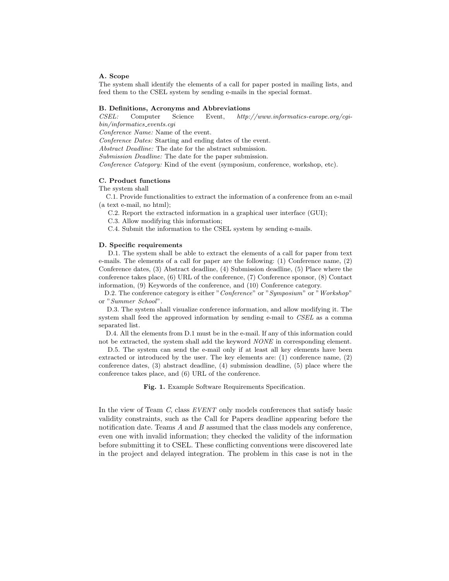#### A. Scope

The system shall identify the elements of a call for paper posted in mailing lists, and feed them to the CSEL system by sending e-mails in the special format.

#### B. Definitions, Acronyms and Abbreviations

CSEL: Computer Science Event, http://www.informatics-europe.org/cgi- $\label{eq:bin} bin/informatics_events.cgi$ 

Conference Name: Name of the event.

Conference Dates: Starting and ending dates of the event.

Abstract Deadline: The date for the abstract submission.

Submission Deadline: The date for the paper submission.

Conference Category: Kind of the event (symposium, conference, workshop, etc).

#### C. Product functions

The system shall

C.1. Provide functionalities to extract the information of a conference from an e-mail (a text e-mail, no html);

C.2. Report the extracted information in a graphical user interface (GUI);

C.3. Allow modifying this information;

C.4. Submit the information to the CSEL system by sending e-mails.

#### D. Specific requirements

D.1. The system shall be able to extract the elements of a call for paper from text e-mails. The elements of a call for paper are the following: (1) Conference name, (2) Conference dates, (3) Abstract deadline, (4) Submission deadline, (5) Place where the conference takes place, (6) URL of the conference, (7) Conference sponsor, (8) Contact information, (9) Keywords of the conference, and (10) Conference category.

D.2. The conference category is either "Conference" or "Symposium" or "Workshop" or "Summer School".

D.3. The system shall visualize conference information, and allow modifying it. The system shall feed the approved information by sending e-mail to CSEL as a comma separated list.

D.4. All the elements from D.1 must be in the e-mail. If any of this information could not be extracted, the system shall add the keyword *NONE* in corresponding element.

D.5. The system can send the e-mail only if at least all key elements have been extracted or introduced by the user. The key elements are: (1) conference name, (2) conference dates, (3) abstract deadline, (4) submission deadline, (5) place where the conference takes place, and (6) URL of the conference.

Fig. 1. Example Software Requirements Specification.

In the view of Team C, class EVENT only models conferences that satisfy basic validity constraints, such as the Call for Papers deadline appearing before the notification date. Teams  $A$  and  $B$  assumed that the class models any conference, even one with invalid information; they checked the validity of the information before submitting it to CSEL. These conflicting conventions were discovered late in the project and delayed integration. The problem in this case is not in the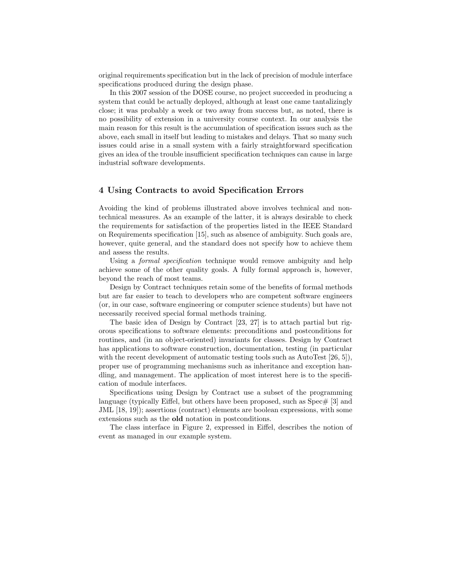original requirements specification but in the lack of precision of module interface specifications produced during the design phase.

In this 2007 session of the DOSE course, no project succeeded in producing a system that could be actually deployed, although at least one came tantalizingly close; it was probably a week or two away from success but, as noted, there is no possibility of extension in a university course context. In our analysis the main reason for this result is the accumulation of specification issues such as the above, each small in itself but leading to mistakes and delays. That so many such issues could arise in a small system with a fairly straightforward specification gives an idea of the trouble insufficient specification techniques can cause in large industrial software developments.

#### 4 Using Contracts to avoid Specification Errors

Avoiding the kind of problems illustrated above involves technical and nontechnical measures. As an example of the latter, it is always desirable to check the requirements for satisfaction of the properties listed in the IEEE Standard on Requirements specification [15], such as absence of ambiguity. Such goals are, however, quite general, and the standard does not specify how to achieve them and assess the results.

Using a *formal specification* technique would remove ambiguity and help achieve some of the other quality goals. A fully formal approach is, however, beyond the reach of most teams.

Design by Contract techniques retain some of the benefits of formal methods but are far easier to teach to developers who are competent software engineers (or, in our case, software engineering or computer science students) but have not necessarily received special formal methods training.

The basic idea of Design by Contract [23, 27] is to attach partial but rigorous specifications to software elements: preconditions and postconditions for routines, and (in an object-oriented) invariants for classes. Design by Contract has applications to software construction, documentation, testing (in particular with the recent development of automatic testing tools such as  $\text{AutoTest}$  [26, 5]), proper use of programming mechanisms such as inheritance and exception handling, and management. The application of most interest here is to the specification of module interfaces.

Specifications using Design by Contract use a subset of the programming language (typically Eiffel, but others have been proposed, such as  $Spec \# [3]$  and JML [18, 19]); assertions (contract) elements are boolean expressions, with some extensions such as the old notation in postconditions.

The class interface in Figure 2, expressed in Eiffel, describes the notion of event as managed in our example system.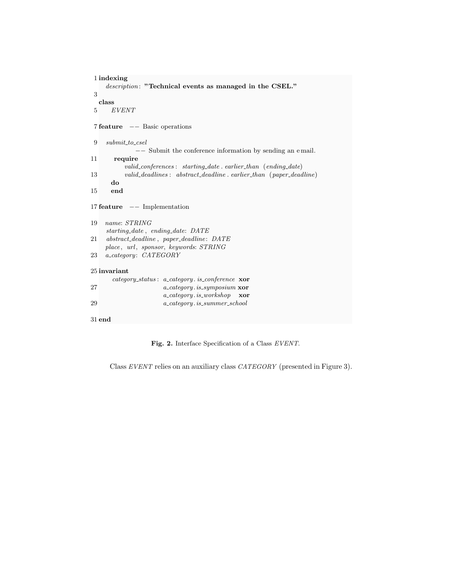```
1 indexing
    description: "Technical events as managed in the CSEL."
3
  class
5 EVENT
7 feature −− Basic operations
9 submit_to_csel
             −− Submit the conference information by sending an e mail.
11 require
         valid\_conferences: starting\_date. earlier\_than (ending\_date)13 valid_deadlines : abstract_deadline . earlier_than (paper_deadline)
     do
15 end
17 feature −− Implementation
19 name: STRING
    starting date , ending date: DATE
21 abstract deadline , paper deadline: DATE
    place, url, sponsor, keywords: STRING
23 a_category: CATEGORY25 invariant
      category status : a category . is conference xor
27 a category .is symposium xor
                     a category .is workshop xor
29 a category .is summer school
31 end
```
Fig. 2. Interface Specification of a Class EVENT.

Class EVENT relies on an auxiliary class CATEGORY (presented in Figure 3).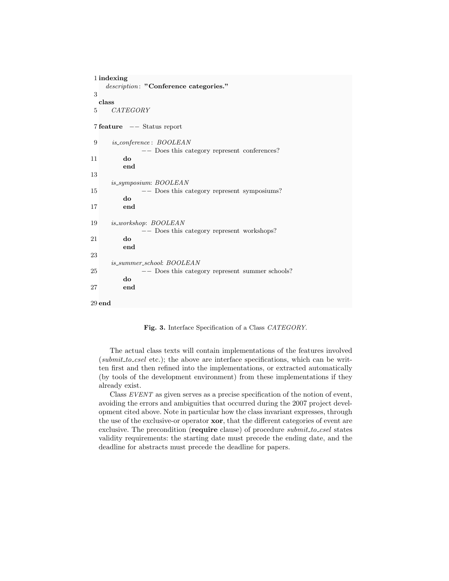```
1 indexing
    description: "Conference categories."
3
  class
 5 CATEGORY
7 feature −− Status report
9 is conference : BOOLEAN
             −− Does this category represent conferences?
11 do
        end
13
     is symposium: BOOLEAN
15 −− Does this category represent symposiums?
        do
17 end
19 is workshop: BOOLEAN
              −− Does this category represent workshops?
21 do
        end
23
     is summer school: BOOLEAN
25 −− Does this category represent summer schools?
        do
27 end
29 end
```
Fig. 3. Interface Specification of a Class CATEGORY.

The actual class texts will contain implementations of the features involved (submit to csel etc.); the above are interface specifications, which can be written first and then refined into the implementations, or extracted automatically (by tools of the development environment) from these implementations if they already exist.

Class EVENT as given serves as a precise specification of the notion of event, avoiding the errors and ambiguities that occurred during the 2007 project development cited above. Note in particular how the class invariant expresses, through the use of the exclusive-or operator xor, that the different categories of event are exclusive. The precondition (require clause) of procedure submit to csel states validity requirements: the starting date must precede the ending date, and the deadline for abstracts must precede the deadline for papers.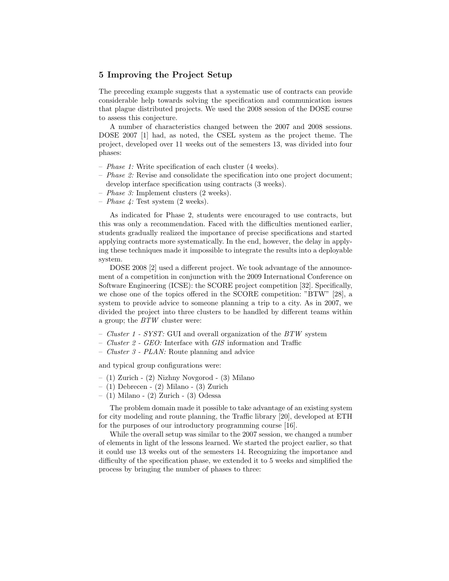## 5 Improving the Project Setup

The preceding example suggests that a systematic use of contracts can provide considerable help towards solving the specification and communication issues that plague distributed projects. We used the 2008 session of the DOSE course to assess this conjecture.

A number of characteristics changed between the 2007 and 2008 sessions. DOSE 2007 [1] had, as noted, the CSEL system as the project theme. The project, developed over 11 weeks out of the semesters 13, was divided into four phases:

- Phase 1: Write specification of each cluster (4 weeks).
- $Phase 2$ : Revise and consolidate the specification into one project document; develop interface specification using contracts (3 weeks).
- Phase 3: Implement clusters (2 weeks).
- Phase  $\angle$ : Test system (2 weeks).

As indicated for Phase 2, students were encouraged to use contracts, but this was only a recommendation. Faced with the difficulties mentioned earlier, students gradually realized the importance of precise specifications and started applying contracts more systematically. In the end, however, the delay in applying these techniques made it impossible to integrate the results into a deployable system.

DOSE 2008 [2] used a different project. We took advantage of the announcement of a competition in conjunction with the 2009 International Conference on Software Engineering (ICSE): the SCORE project competition [32]. Specifically, we chose one of the topics offered in the SCORE competition: "BTW" [28], a system to provide advice to someone planning a trip to a city. As in 2007, we divided the project into three clusters to be handled by different teams within a group; the BTW cluster were:

- Cluster 1 SYST: GUI and overall organization of the BTW system
- Cluster 2 GEO: Interface with GIS information and Traffic
- Cluster 3 PLAN: Route planning and advice

and typical group configurations were:

- (1) Zurich (2) Nizhny Novgorod (3) Milano
- (1) Debrecen (2) Milano (3) Zurich
- (1) Milano (2) Zurich (3) Odessa

The problem domain made it possible to take advantage of an existing system for city modeling and route planning, the Traffic library [20], developed at ETH for the purposes of our introductory programming course [16].

While the overall setup was similar to the 2007 session, we changed a number of elements in light of the lessons learned. We started the project earlier, so that it could use 13 weeks out of the semesters 14. Recognizing the importance and difficulty of the specification phase, we extended it to 5 weeks and simplified the process by bringing the number of phases to three: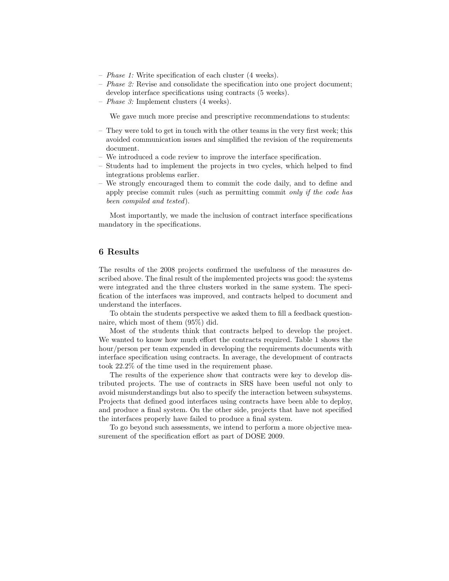- Phase 1: Write specification of each cluster (4 weeks).
- Phase 2: Revise and consolidate the specification into one project document; develop interface specifications using contracts (5 weeks).
- Phase 3: Implement clusters (4 weeks).

We gave much more precise and prescriptive recommendations to students:

- They were told to get in touch with the other teams in the very first week; this avoided communication issues and simplified the revision of the requirements document.
- We introduced a code review to improve the interface specification.
- Students had to implement the projects in two cycles, which helped to find integrations problems earlier.
- We strongly encouraged them to commit the code daily, and to define and apply precise commit rules (such as permitting commit only if the code has been compiled and tested).

Most importantly, we made the inclusion of contract interface specifications mandatory in the specifications.

# 6 Results

The results of the 2008 projects confirmed the usefulness of the measures described above. The final result of the implemented projects was good: the systems were integrated and the three clusters worked in the same system. The specification of the interfaces was improved, and contracts helped to document and understand the interfaces.

To obtain the students perspective we asked them to fill a feedback questionnaire, which most of them (95%) did.

Most of the students think that contracts helped to develop the project. We wanted to know how much effort the contracts required. Table 1 shows the hour/person per team expended in developing the requirements documents with interface specification using contracts. In average, the development of contracts took 22.2% of the time used in the requirement phase.

The results of the experience show that contracts were key to develop distributed projects. The use of contracts in SRS have been useful not only to avoid misunderstandings but also to specify the interaction between subsystems. Projects that defined good interfaces using contracts have been able to deploy, and produce a final system. On the other side, projects that have not specified the interfaces properly have failed to produce a final system.

To go beyond such assessments, we intend to perform a more objective measurement of the specification effort as part of DOSE 2009.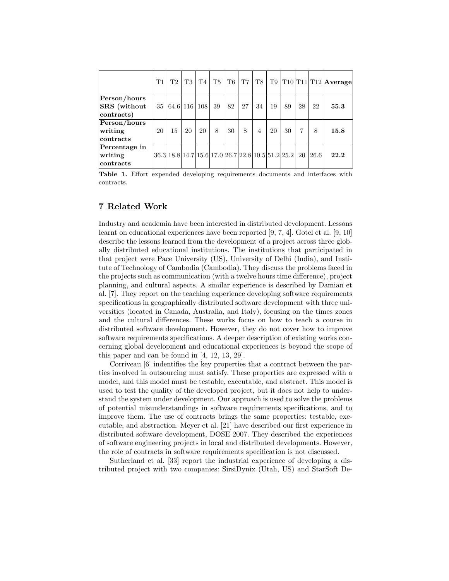|                                                   | T1 | T2                                                   | T <sub>3</sub> | T <sub>4</sub> | T <sub>5</sub> | T <sub>6</sub> | T <sub>7</sub> | T8 |    |    |    |      | $T9  T10 T11 T12 $ Average |
|---------------------------------------------------|----|------------------------------------------------------|----------------|----------------|----------------|----------------|----------------|----|----|----|----|------|----------------------------|
| Person/hours<br><b>SRS</b> (without<br>contracts) | 35 | 64.6 116                                             |                | 108            | 39             | 82             | 27             | 34 | 19 | 89 | 28 | 22   | 55.3                       |
| Person/hours<br>writing<br>$ {\rm contracts} $    | 20 | 15                                                   | 20             | 20             | 8              | 30             | 8              | 4  | 20 | 30 | 7  | 8    | 15.8                       |
| Percentage in<br>writing<br>$ {\rm contracts} $   |    | $36.3 18.8 14.7 15.6 17.0 26.7 22.8 10.5 51.2 25.2 $ |                |                |                |                |                |    |    |    | 20 | 26.6 | 22.2                       |

Table 1. Effort expended developing requirements documents and interfaces with contracts.

# 7 Related Work

Industry and academia have been interested in distributed development. Lessons learnt on educational experiences have been reported [9, 7, 4]. Gotel et al. [9, 10] describe the lessons learned from the development of a project across three globally distributed educational institutions. The institutions that participated in that project were Pace University (US), University of Delhi (India), and Institute of Technology of Cambodia (Cambodia). They discuss the problems faced in the projects such as communication (with a twelve hours time difference), project planning, and cultural aspects. A similar experience is described by Damian et al. [7]. They report on the teaching experience developing software requirements specifications in geographically distributed software development with three universities (located in Canada, Australia, and Italy), focusing on the times zones and the cultural differences. These works focus on how to teach a course in distributed software development. However, they do not cover how to improve software requirements specifications. A deeper description of existing works concerning global development and educational experiences is beyond the scope of this paper and can be found in [4, 12, 13, 29].

Corriveau [6] indentifies the key properties that a contract between the parties involved in outsourcing must satisfy. These properties are expressed with a model, and this model must be testable, executable, and abstract. This model is used to test the quality of the developed project, but it does not help to understand the system under development. Our approach is used to solve the problems of potential misunderstandings in software requirements specifications, and to improve them. The use of contracts brings the same properties: testable, executable, and abstraction. Meyer et al. [21] have described our first experience in distributed software development, DOSE 2007. They described the experiences of software engineering projects in local and distributed developments. However, the role of contracts in software requirements specification is not discussed.

Sutherland et al. [33] report the industrial experience of developing a distributed project with two companies: SirsiDynix (Utah, US) and StarSoft De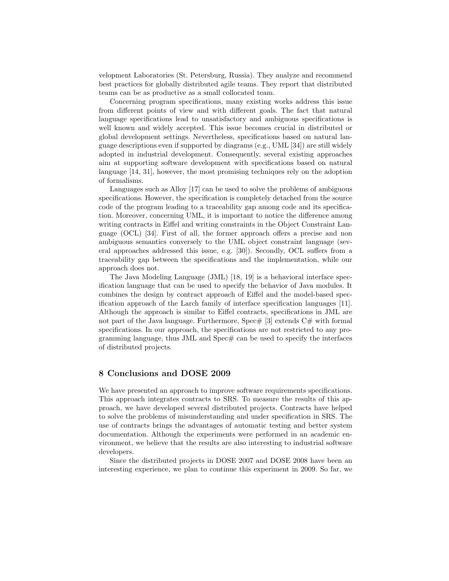velopment Laboratories (St. Petersburg, Russia). They analyze and recommend best practices for globally distributed agile teams. They report that distributed teams can be as productive as a small collocated team.

Concerning program specifications, many existing works address this issue from different points of view and with different goals. The fact that natural language specifications lead to unsatisfactory and ambiguous specifications is well known and widely accepted. This issue becomes crucial in distributed or global development settings. Nevertheless, specifications based on natural language descriptions even if supported by diagrams (e.g., UML [34]) are still widely adopted in industrial development. Consequently, several existing approaches aim at supporting software development with specifications based on natural language [14, 31], however, the most promising techniques rely on the adoption of formalisms.

Languages such as Alloy [17] can be used to solve the problems of ambiguous specifications. However, the specification is completely detached from the source code of the program leading to a traceability gap among code and its specification. Moreover, concerning UML, it is important to notice the difference among writing contracts in Eiffel and writing constraints in the Object Constraint Language (OCL) [34]. First of all, the former approach offers a precise and non ambiguous semantics conversely to the UML object constraint language (several approaches addressed this issue, e.g. [30]). Secondly, OCL suffers from a traceability gap between the specifications and the implementation, while our approach does not.

The Java Modeling Language (JML) [18, 19] is a behavioral interface specification language that can be used to specify the behavior of Java modules. It combines the design by contract approach of Eiffel and the model-based specification approach of the Larch family of interface specification languages [11]. Although the approach is similar to Eiffel contracts, specifications in JML are not part of the Java language. Furthermore,  $Spec \# [3]$  extends  $C \#$  with formal specifications. In our approach, the specifications are not restricted to any programming language, thus JML and  $Spec \#$  can be used to specify the interfaces of distributed projects.

# 8 Conclusions and DOSE 2009

We have presented an approach to improve software requirements specifications. This approach integrates contracts to SRS. To measure the results of this approach, we have developed several distributed projects. Contracts have helped to solve the problems of misunderstanding and under specification in SRS. The use of contracts brings the advantages of automatic testing and better system documentation. Although the experiments were performed in an academic environment, we believe that the results are also interesting to industrial software developers.

Since the distributed projects in DOSE 2007 and DOSE 2008 have been an interesting experience, we plan to continue this experiment in 2009. So far, we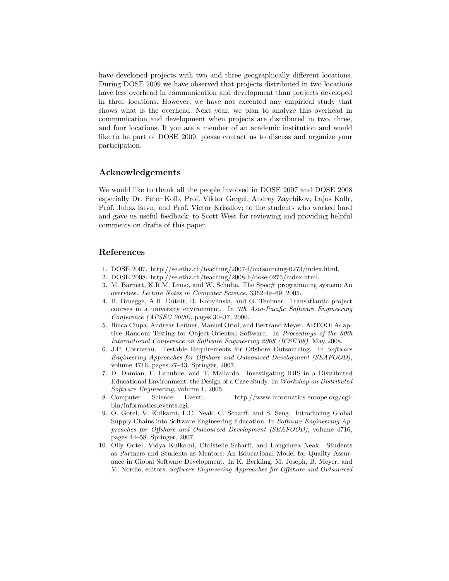have developed projects with two and three geographically different locations. During DOSE 2009 we have observed that projects distributed in two locations have less overhead in communication and development than projects developed in three locations. However, we have not executed any empirical study that shows what is the overhead. Next year, we plan to analyze this overhead in communication and development when projects are distributed in two, three, and four locations. If you are a member of an academic institution and would like to be part of DOSE 2009, please contact us to discuss and organize your participation.

## Acknowledgements

We would like to thank all the people involved in DOSE 2007 and DOSE 2008 especially Dr. Peter Kolb, Prof. Viktor Gergel, Andrey Zaychikov, Lajos Kollr, Prof. Juhsz Istvn, and Prof. Victor Krissilov; to the students who worked hard and gave us useful feedback; to Scott West for reviewing and providing helpful comments on drafts of this paper.

# References

- 1. DOSE 2007. http://se.ethz.ch/teaching/2007-f/outsourcing-0273/index.html.
- 2. DOSE 2008. http://se.ethz.ch/teaching/2008-h/dose-0273/index.html.
- 3. M. Barnett, K.R.M. Leino, and W. Schulte. The Spec# programming system: An overview. Lecture Notes in Computer Science, 3362:49–69, 2005.
- 4. B. Bruegge, A.H. Dutoit, R. Kobylinski, and G. Teubner. Transatlantic project courses in a university environment. In 7th Asia-Pacific Software Engineering Conference (APSEC 2000), pages 30–37, 2000.
- 5. Ilinca Ciupa, Andreas Leitner, Manuel Oriol, and Bertrand Meyer. ARTOO: Adaptive Random Testing for Object-Oriented Software. In Proceedings of the 30th International Conference on Software Engineering 2008 (ICSE'08), May 2008.
- 6. J.P. Corriveau. Testable Requirements for Offshore Outsourcing. In Software Engineering Approaches for Offshore and Outsourced Development (SEAFOOD), volume 4716, pages 27–43. Springer, 2007.
- 7. D. Damian, F. Lanubile, and T. Mallardo. Investigating IBIS in a Distributed Educational Environment: the Design of a Case Study. In Workshop on Distributed Software Engineering, volume 1, 2005.
- 8. Computer Science Event:. http://www.informatics-europe.org/cgibin/informatics events.cgi.
- 9. O. Gotel, V. Kulkarni, L.C. Neak, C. Scharff, and S. Seng. Introducing Global Supply Chains into Software Engineering Education. In Software Engineering Approaches for Offshore and Outsourced Development (SEAFOOD), volume 4716, pages 44–58. Springer, 2007.
- 10. Olly Gotel, Vidya Kulkarni, Christelle Scharff, and Longchrea Neak. Students as Partners and Students as Mentors: An Educational Model for Quality Assurance in Global Software Development. In K. Berkling, M. Joseph, B. Meyer, and M. Nordio, editors, Software Engineering Approaches for Offshore and Outsourced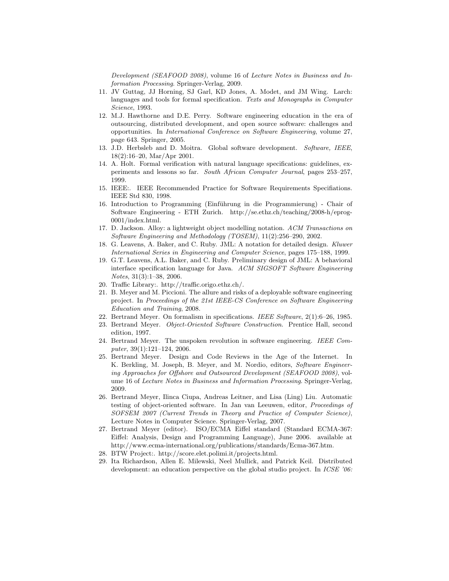Development (SEAFOOD 2008), volume 16 of Lecture Notes in Business and Information Processing. Springer-Verlag, 2009.

- 11. JV Guttag, JJ Horning, SJ Garl, KD Jones, A. Modet, and JM Wing. Larch: languages and tools for formal specification. Texts and Monographs in Computer Science, 1993.
- 12. M.J. Hawthorne and D.E. Perry. Software engineering education in the era of outsourcing, distributed development, and open source software: challenges and opportunities. In International Conference on Software Engineering, volume 27, page 643. Springer, 2005.
- 13. J.D. Herbsleb and D. Moitra. Global software development. Software, IEEE, 18(2):16–20, Mar/Apr 2001.
- 14. A. Holt. Formal verification with natural language specifications: guidelines, experiments and lessons so far. South African Computer Journal, pages 253–257, 1999.
- 15. IEEE:. IEEE Recommended Practice for Software Requirements Specifiations. IEEE Std 830, 1998.
- 16. Introduction to Programming (Einführung in die Programmierung) Chair of Software Engineering - ETH Zurich. http://se.ethz.ch/teaching/2008-h/eprog-0001/index.html.
- 17. D. Jackson. Alloy: a lightweight object modelling notation. ACM Transactions on Software Engineering and Methodology (TOSEM), 11(2):256–290, 2002.
- 18. G. Leavens, A. Baker, and C. Ruby. JML: A notation for detailed design. Kluwer International Series in Engineering and Computer Science, pages 175–188, 1999.
- 19. G.T. Leavens, A.L. Baker, and C. Ruby. Preliminary design of JML: A behavioral interface specification language for Java. ACM SIGSOFT Software Engineering Notes, 31(3):1–38, 2006.
- 20. Traffic Library:. http://traffic.origo.ethz.ch/.
- 21. B. Meyer and M. Piccioni. The allure and risks of a deployable software engineering project. In Proceedings of the 21st IEEE-CS Conference on Software Engineering Education and Training, 2008.
- 22. Bertrand Meyer. On formalism in specifications. IEEE Software, 2(1):6–26, 1985.
- 23. Bertrand Meyer. Object-Oriented Software Construction. Prentice Hall, second edition, 1997.
- 24. Bertrand Meyer. The unspoken revolution in software engineering. IEEE Computer, 39(1):121–124, 2006.
- 25. Bertrand Meyer. Design and Code Reviews in the Age of the Internet. In K. Berkling, M. Joseph, B. Meyer, and M. Nordio, editors, Software Engineering Approaches for Offshore and Outsourced Development (SEAFOOD 2008), volume 16 of Lecture Notes in Business and Information Processing. Springer-Verlag, 2009.
- 26. Bertrand Meyer, Ilinca Ciupa, Andreas Leitner, and Lisa (Ling) Liu. Automatic testing of object-oriented software. In Jan van Leeuwen, editor, Proceedings of SOFSEM 2007 (Current Trends in Theory and Practice of Computer Science), Lecture Notes in Computer Science. Springer-Verlag, 2007.
- 27. Bertrand Meyer (editor). ISO/ECMA Eiffel standard (Standard ECMA-367: Eiffel: Analysis, Design and Programming Language), June 2006. available at http://www.ecma-international.org/publications/standards/Ecma-367.htm.
- 28. BTW Project:. http://score.elet.polimi.it/projects.html.
- 29. Ita Richardson, Allen E. Milewski, Neel Mullick, and Patrick Keil. Distributed development: an education perspective on the global studio project. In *ICSE '06:*